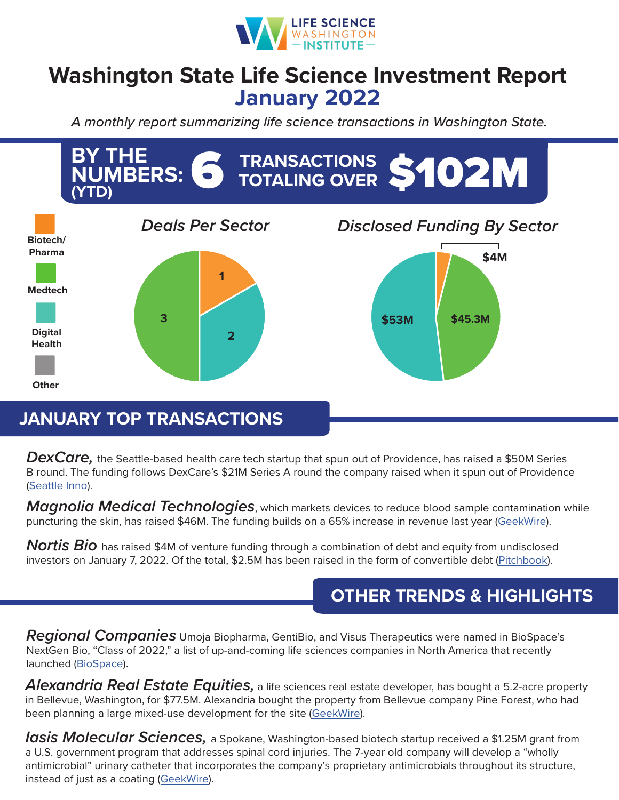

## **Washington State Life Science Investment Report January 2022**

*A monthly report summarizing life science transactions in Washington State.*



## **JANUARY TOP TRANSACTIONS**

*DexCare,* the Seattle-based health care tech startup that spun out of Providence, has raised a \$50M Series B round. The funding follows DexCare's \$21M Series A round the company raised when it spun out of Providence ([Seattle Inno](https://www.bizjournals.com/seattle/inno/stories/fundings/2022/01/13/providence-spinout-dexcare-raises-50m-series-b.html)).

*Magnolia Medical Technologies*, which markets devices to reduce blood sample contamination while puncturing the skin, has raised \$46M. The funding builds on a 65% increase in revenue last year ([GeekWire](https://www.geekwire.com/2022/reducing-contamination-during-blood-tests-magnolia-medical-lands-46m-to-fuel-growth/)).

*Nortis Bio* has raised \$4M of venture funding through a combination of debt and equity from undisclosed investors on January 7, 2022. Of the total, \$2.5M has been raised in the form of convertible debt [\(Pitchbook\)](https://pitchbook.com/profiles/company/62139-97).

## **OTHER TRENDS & HIGHLIGHTS**

*Regional Companies* Umoja Biopharma, GentiBio, and Visus Therapeutics were named in BioSpace's NextGen Bio, "Class of 2022," a list of up-and-coming life sciences companies in North America that recently launched ([BioSpace\)](https://www.biospace.com/article/top-life-sciences-startups-to-watch-in-2022/).

*Alexandria Real Estate Equities,* a life sciences real estate developer, has bought a 5.2-acre property in Bellevue, Washington, for \$77.5M. Alexandria bought the property from Bellevue company Pine Forest, who had been planning a large mixed-use development for the site ([GeekWire](https://www.geekwire.com/2021/life-sciences-developer-alexandria-grows-seattle-footprint-pays-77-5m-for-five-acres-in-bellevue/)).

*Iasis Molecular Sciences,* a Spokane, Washington-based biotech startup received a \$1.25M grant from a U.S. government program that addresses spinal cord injuries. The 7-year old company will develop a "wholly antimicrobial" urinary catheter that incorporates the company's proprietary antimicrobials throughout its structure, instead of just as a coating ([GeekWire](https://www.geekwire.com/2022/antimicrobial-biotech-startup-lands-1-25m-grant-to-develop-urinary-catheter/)).